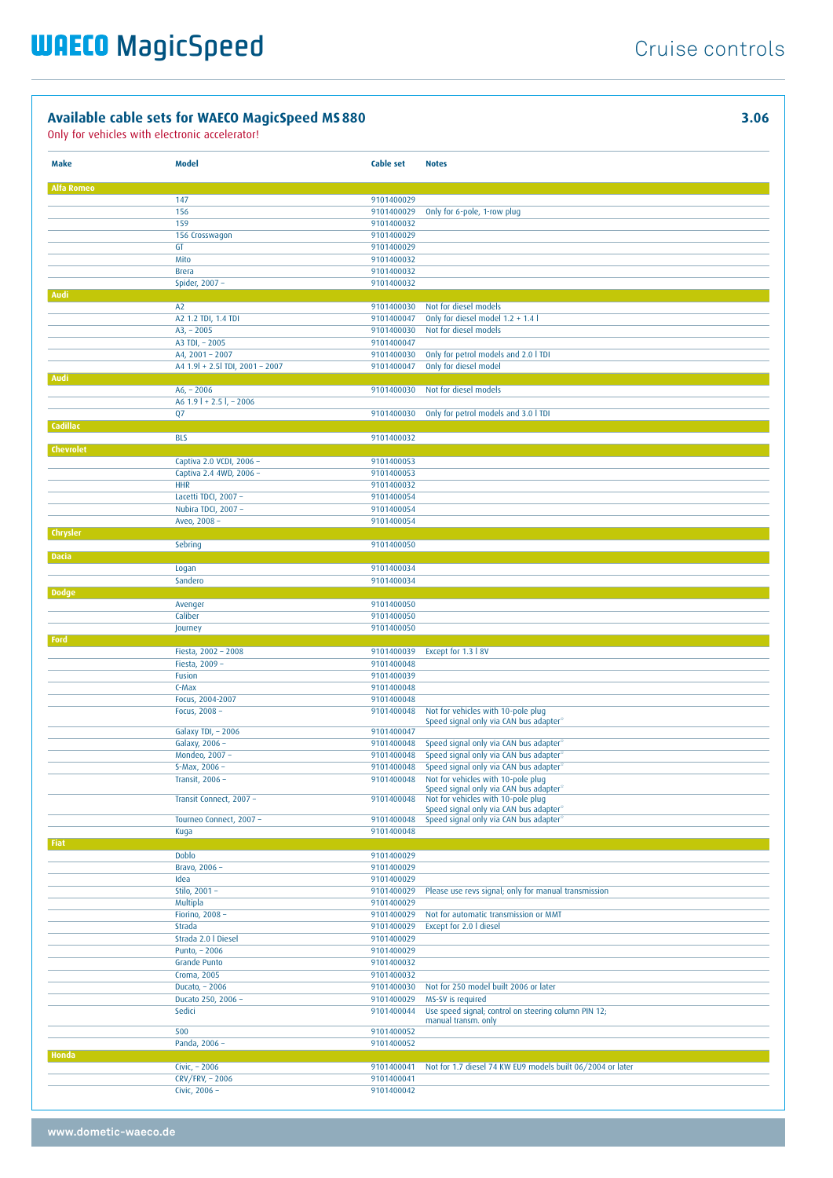Only for vehicles with electronic accelerator!

**Make Model Cable set Notes Alfa Rome** 147 9101400029 156 9101400029 Only for 6-pole, 1-row plug 9101400032<br>9101400029 156 Crosswagon GT 9101400029<br>Mito 9101400032 Mito 9101400032<br>Brera 9101400032 9101400032<br>9101400032 Spider, 2007 · **Audi** A2 9101400030 Not for diesel models<br>A2 1.2 TDI, 1.4 TDI 9101400047 Only for diesel model 1.2 + 1.4 l<br>9101400030 Not for diesel models A3, – 2005 9101400030 Not for diesel models<br>A3 TDI, – 2005 9101400047 A3 TDI, – 2005 9101400047<br>A4, 2001 – 2007 9101400030 A4, 2001 – 2007 9101400030 Only for petrol models and 2.0 l TDI A4 1.9l + 2.5l TDI, 2001 – 2007 9101400047 **Audi** A6, – 2006 9101400030 Not for diesel models  $A6$  1.9 | + 2.5 | - 2006 Q7 9101400030 Only for petrol models and 3.0 l TDI **Cadillac** BLS 9101400032 **Chevrolet** Captiva 2.0 VCDI, 2006 – 9101400053 Captiva 2.4 4WD, 2006 – 9101400053 HHR 9101400032 Lacetti TDCI, 2007 – 9101400054 Nubira TDCI, 2007 – 9101400054 Aveo, 2008 – 9101400054 **Chrysler** Sebring 9101400050 **Dacia** Logan 9101400034 Sandero 9101400034 **Dodge** Avenger 9101400050 9101400050 Journey 9101400050 **Ford** Fiesta, 2002 – 2008 9101400039 Except for 1.3 l 8V Fiesta, 2009 – 9101400048 Fusion 9101400039<br>C-Max 9101400048 9101400048 Focus, 2004-2007 9101400048 Not for vehicles with 10-pole plug Speed signal only via CAN bus adapter\* Galaxy TDI, - 2006 9101400047 Galaxy, 2006 – 9101400048 Speed signal only via CAN bus adapter<sup>\*</sup><br>Mondeo. 2007 – 9101400048 Speed signal only via CAN bus adapter<sup>\*</sup> Mondeo, 2007 – 9101400048 Speed signal only via CAN bus adapter<br>5-Max. 2006 – 9101400048 Speed signal only via CAN bus adapter\* 9101400048 Speed signal only via CAN bus adapter Transit, 2006 – 9101400048 Not for vehicles with 10-pole plug Speed signal only via CAN bus adapter\* Transit Connect, 2007 – 9101400048 Not for vehicles with 10-pole plug Speed signal only via CAN bus adapter\* Tourneo Connect, 2007 – 9101400048 Speed signal only via CAN bus adapter\* Kuga 9101400048 **Fiat** Doblo 9101400029 Bravo, 2006 – 9101400029<br>1dea 9101400029 9101400029 Stilo, 2001 – 9101400029 Please use revs signal; only for manual transmission Multipla 9101400029<br>Fiorino, 2008 – 9101400029 Fiorino, 2008 – 9101400029 Not for automatic transmission or MMT<br>Strada 9101400029 Except for 2.0 | diesel Except for 2.0 l diesel Strada 2.0 | Diesel 9101400029<br>Punto, - 2006 9101400029 Punto, – 2006 9101400029<br>Grande Punto 9101400032 Grande Punto Croma, 2005 9101400032 Ducato, – 2006 9101400030 Not for 250 model built 2006 or later Ducato 250, 2006 – 9101400029 MS-SV is required Sedici 9101400044 Use speed signal; control on steering column PIN 12; manual transm. only 500 9101400052 Panda, 2006 – 9101400052 **Honda** Civic, – 2006 9101400041 Not for 1.7 diesel 74 KW EU9 models built 06/2004 or later CRV/FRV, - 2006 9101400041 Civic, 2006 – 9101400042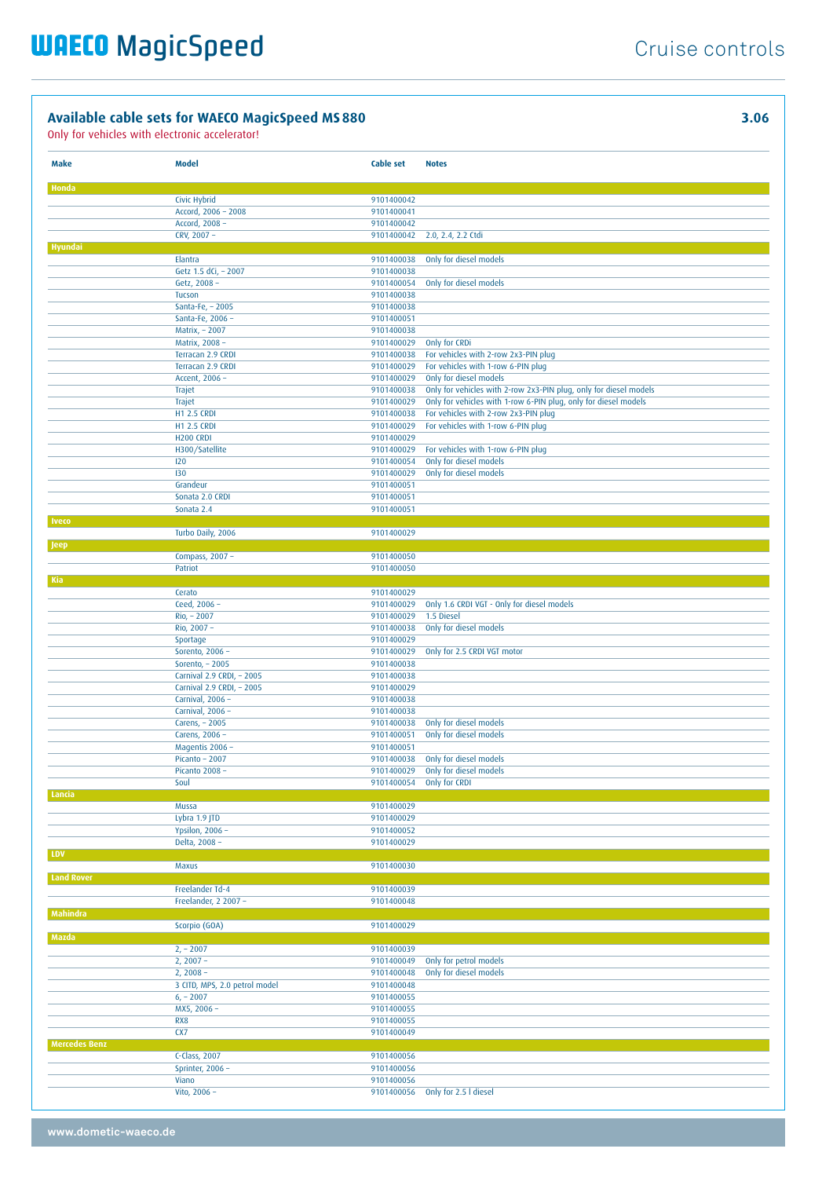| Make                 | Model                                | <b>Cable set</b>         | <b>Notes</b>                                                      |
|----------------------|--------------------------------------|--------------------------|-------------------------------------------------------------------|
|                      |                                      |                          |                                                                   |
| Honda                | Civic Hybrid                         | 9101400042               |                                                                   |
|                      | Accord, 2006 - 2008                  | 9101400041               |                                                                   |
|                      | Accord, 2008 -                       | 9101400042               |                                                                   |
|                      | CRV, 2007 -                          | 9101400042               | 2.0, 2.4, 2.2 Ctdi                                                |
| Hyundai              |                                      |                          |                                                                   |
|                      | Elantra                              | 9101400038               | Only for diesel models                                            |
|                      | Getz 1.5 dCi, - 2007<br>Getz, 2008 - | 9101400038<br>9101400054 | Only for diesel models                                            |
|                      | Tucson                               | 9101400038               |                                                                   |
|                      | Santa-Fe, - 2005                     | 9101400038               |                                                                   |
|                      | Santa-Fe, 2006 -                     | 9101400051               |                                                                   |
|                      | Matrix, - 2007                       | 9101400038               |                                                                   |
|                      | Matrix, 2008 -                       | 9101400029               | Only for CRDi                                                     |
|                      | Terracan 2.9 CRDI                    | 9101400038               | For vehicles with 2-row 2x3-PIN plug                              |
|                      | Terracan 2.9 CRDI<br>Accent, 2006 -  | 9101400029<br>9101400029 | For vehicles with 1-row 6-PIN plug<br>Only for diesel models      |
|                      | Trajet                               | 9101400038               | Only for vehicles with 2-row 2x3-PIN plug, only for diesel models |
|                      | Trajet                               | 9101400029               | Only for vehicles with 1-row 6-PIN plug, only for diesel models   |
|                      | <b>H1 2.5 CRDI</b>                   | 9101400038               | For vehicles with 2-row 2x3-PIN plug                              |
|                      | <b>H1 2.5 CRDI</b>                   | 9101400029               | For vehicles with 1-row 6-PIN plug                                |
|                      | <b>H200 CRDI</b>                     | 9101400029               |                                                                   |
|                      | H300/Satellite                       | 9101400029               | For vehicles with 1-row 6-PIN plug                                |
|                      | 120<br>130                           | 9101400054<br>9101400029 | Only for diesel models<br>Only for diesel models                  |
|                      | Grandeur                             | 9101400051               |                                                                   |
|                      | Sonata 2.0 CRDI                      | 9101400051               |                                                                   |
|                      | Sonata 2.4                           | 9101400051               |                                                                   |
| Iveco                |                                      |                          |                                                                   |
|                      | Turbo Daily, 2006                    | 9101400029               |                                                                   |
| <b>Jeep</b>          | Compass, 2007 -                      | 9101400050               |                                                                   |
|                      | Patriot                              | 9101400050               |                                                                   |
| Kia                  |                                      |                          |                                                                   |
|                      | Cerato                               | 9101400029               |                                                                   |
|                      | Ceed, 2006 -                         | 9101400029               | Only 1.6 CRDI VGT - Only for diesel models                        |
|                      | Rio, - 2007                          | 9101400029               | 1.5 Diesel                                                        |
|                      | Rio, 2007 -<br>Sportage              | 9101400038<br>9101400029 | Only for diesel models                                            |
|                      | Sorento, 2006 -                      | 9101400029               | Only for 2.5 CRDI VGT motor                                       |
|                      | Sorento, - 2005                      | 9101400038               |                                                                   |
|                      | Carnival 2.9 CRDI, - 2005            | 9101400038               |                                                                   |
|                      | Carnival 2.9 CRDI, - 2005            | 9101400029               |                                                                   |
|                      | Carnival, 2006 -                     | 9101400038               |                                                                   |
|                      | Carnival, 2006 -<br>Carens, - 2005   | 9101400038<br>9101400038 | Only for diesel models                                            |
|                      | Carens, 2006 -                       | 9101400051               | Only for diesel models                                            |
|                      | Magentis 2006 -                      | 9101400051               |                                                                   |
|                      | Picanto - 2007                       | 9101400038               | Only for diesel models                                            |
|                      | Picanto 2008 -                       | 9101400029               | Only for diesel models                                            |
|                      | Soul                                 |                          | 9101400054 Only for CRDI                                          |
| Lancia               | Mussa                                | 9101400029               |                                                                   |
|                      | Lybra 1.9 JTD                        | 9101400029               |                                                                   |
|                      | Ypsilon, 2006 -                      | 9101400052               |                                                                   |
|                      | Delta, 2008 -                        | 9101400029               |                                                                   |
| LDV                  |                                      |                          |                                                                   |
| <b>Land Rover</b>    | Maxus                                | 9101400030               |                                                                   |
|                      | Freelander Td-4                      | 9101400039               |                                                                   |
|                      | Freelander, 2 2007 -                 | 9101400048               |                                                                   |
| Mahindra             |                                      |                          |                                                                   |
|                      | Scorpio (GOA)                        | 9101400029               |                                                                   |
| Mazda                | $2, -2007$                           | 9101400039               |                                                                   |
|                      | $2, 2007 -$                          | 9101400049               | Only for petrol models                                            |
|                      | $2, 2008 -$                          | 9101400048               | Only for diesel models                                            |
|                      | 3 CITD, MPS, 2.0 petrol model        | 9101400048               |                                                                   |
|                      | $6, -2007$                           | 9101400055               |                                                                   |
|                      | MX5, 2006 -                          | 9101400055               |                                                                   |
|                      | RX8<br>CX7                           | 9101400055<br>9101400049 |                                                                   |
| <b>Mercedes Benz</b> |                                      |                          |                                                                   |
|                      | C-Class, 2007                        | 9101400056               |                                                                   |
|                      | Sprinter, 2006 -                     | 9101400056               |                                                                   |
|                      | Viano                                | 9101400056               |                                                                   |
|                      | Vito, 2006 -                         | 9101400056               | Only for 2.5 I diesel                                             |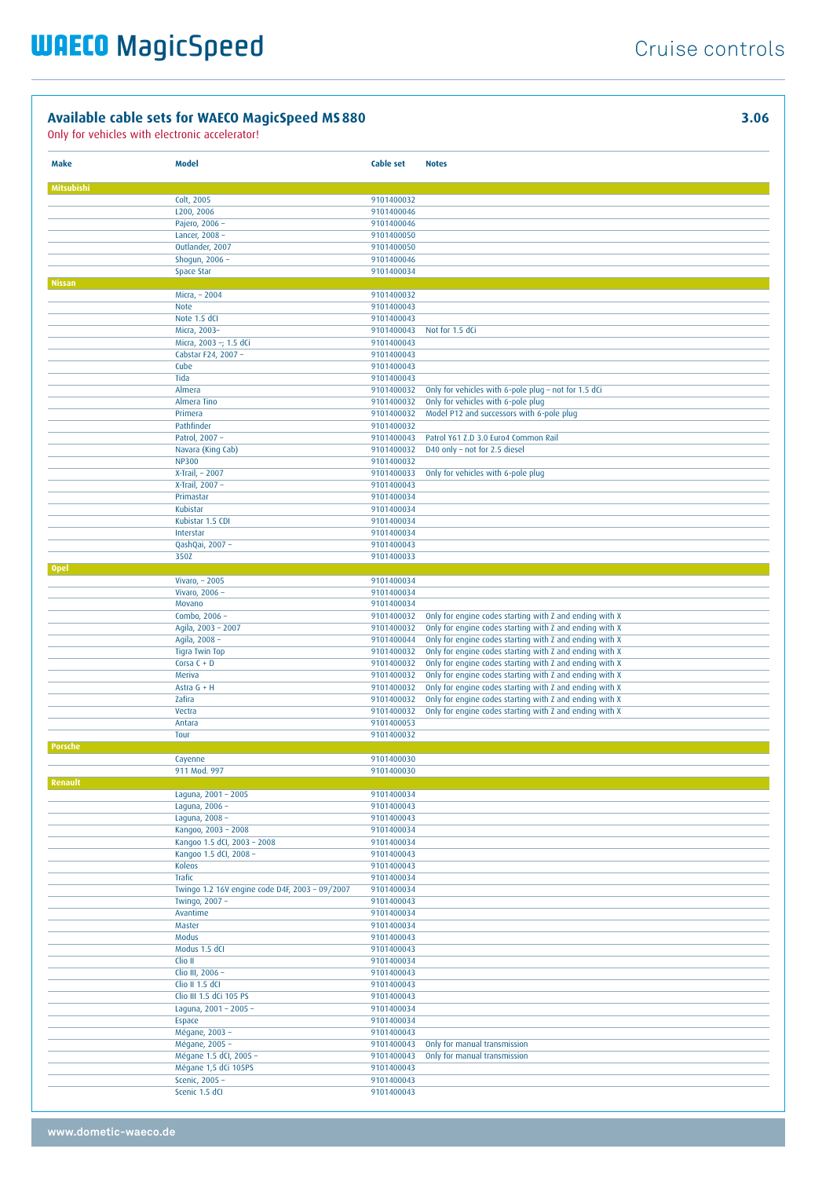| Make          | <b>Model</b>                                   | <b>Cable set</b>         | <b>Notes</b>                                                                                                       |
|---------------|------------------------------------------------|--------------------------|--------------------------------------------------------------------------------------------------------------------|
|               |                                                |                          |                                                                                                                    |
| Mitsubishi    | Colt, 2005                                     | 9101400032               |                                                                                                                    |
|               | L200, 2006                                     | 9101400046               |                                                                                                                    |
|               | Pajero, 2006 -                                 | 9101400046               |                                                                                                                    |
|               | Lancer, 2008 -                                 | 9101400050               |                                                                                                                    |
|               | Outlander, 2007                                | 9101400050               |                                                                                                                    |
|               | Shogun, 2006 -                                 | 9101400046               |                                                                                                                    |
|               | Space Star                                     | 9101400034               |                                                                                                                    |
| <b>Nissan</b> | Micra, - 2004                                  | 9101400032               |                                                                                                                    |
|               | <b>Note</b>                                    | 9101400043               |                                                                                                                    |
|               | Note 1.5 dCI                                   | 9101400043               |                                                                                                                    |
|               | Micra, 2003-                                   | 9101400043               | Not for 1.5 dCi                                                                                                    |
|               | Micra, 2003 -; 1.5 dCi                         | 9101400043               |                                                                                                                    |
|               | Cabstar F24, 2007 -<br>Cube                    | 9101400043<br>9101400043 |                                                                                                                    |
|               | Tida                                           | 9101400043               |                                                                                                                    |
|               | Almera                                         | 9101400032               | Only for vehicles with 6-pole plug - not for 1.5 dCi                                                               |
|               | Almera Tino                                    | 9101400032               | Only for vehicles with 6-pole plug                                                                                 |
|               | Primera                                        | 9101400032               | Model P12 and successors with 6-pole plug                                                                          |
|               | Pathfinder                                     | 9101400032               |                                                                                                                    |
|               | Patrol, 2007 -                                 | 9101400043               | Patrol Y61 Z.D 3.0 Euro4 Common Rail                                                                               |
|               | Navara (King Cab)<br><b>NP300</b>              | 9101400032<br>9101400032 | D40 only - not for 2.5 diesel                                                                                      |
|               | X-Trail, - 2007                                | 9101400033               | Only for vehicles with 6-pole plug                                                                                 |
|               | X-Trail, 2007 -                                | 9101400043               |                                                                                                                    |
|               | Primastar                                      | 9101400034               |                                                                                                                    |
|               | Kubistar                                       | 9101400034               |                                                                                                                    |
|               | Kubistar 1.5 CDI                               | 9101400034               |                                                                                                                    |
|               | Interstar<br>QashQai, 2007 -                   | 9101400034<br>9101400043 |                                                                                                                    |
|               | 350Z                                           | 9101400033               |                                                                                                                    |
| <b>Opel</b>   |                                                |                          |                                                                                                                    |
|               | Vivaro, - 2005                                 | 9101400034               |                                                                                                                    |
|               | Vivaro, 2006 -<br>Movano                       | 9101400034<br>9101400034 |                                                                                                                    |
|               | Combo, 2006 -                                  | 9101400032               | Only for engine codes starting with Z and ending with X                                                            |
|               | Agila, 2003 - 2007                             | 9101400032               | Only for engine codes starting with Z and ending with X                                                            |
|               | Agila, 2008 -                                  | 9101400044               | Only for engine codes starting with Z and ending with X                                                            |
|               | Tigra Twin Top                                 | 9101400032               | Only for engine codes starting with Z and ending with X                                                            |
|               | Corsa $C + D$<br>Meriva                        | 9101400032<br>9101400032 | Only for engine codes starting with Z and ending with X<br>Only for engine codes starting with Z and ending with X |
|               | Astra $G + H$                                  | 9101400032               | Only for engine codes starting with Z and ending with X                                                            |
|               | Zafira                                         | 9101400032               | Only for engine codes starting with Z and ending with X                                                            |
|               | Vectra                                         | 9101400032               | Only for engine codes starting with Z and ending with X                                                            |
|               | Antara                                         | 9101400053               |                                                                                                                    |
| Porsche       | Tour                                           | 9101400032               |                                                                                                                    |
|               | Cayenne                                        | 9101400030               |                                                                                                                    |
|               | 911 Mod. 997                                   | 9101400030               |                                                                                                                    |
| Renault       |                                                |                          |                                                                                                                    |
|               | Laguna, 2001 - 2005                            | 9101400034               |                                                                                                                    |
|               | Laguna, 2006 -<br>Laguna, 2008 -               | 9101400043<br>9101400043 |                                                                                                                    |
|               | Kangoo, 2003 - 2008                            | 9101400034               |                                                                                                                    |
|               | Kangoo 1.5 dCl, 2003 - 2008                    | 9101400034               |                                                                                                                    |
|               | Kangoo 1.5 dCl, 2008 -                         | 9101400043               |                                                                                                                    |
|               | Koleos<br>Trafic                               | 9101400043<br>9101400034 |                                                                                                                    |
|               | Twingo 1.2 16V engine code D4F, 2003 - 09/2007 | 9101400034               |                                                                                                                    |
|               | Twingo, 2007 -                                 | 9101400043               |                                                                                                                    |
|               | Avantime                                       | 9101400034               |                                                                                                                    |
|               | Master                                         | 9101400034               |                                                                                                                    |
|               | Modus<br>Modus 1.5 dCI                         | 9101400043<br>9101400043 |                                                                                                                    |
|               | Clio II                                        | 9101400034               |                                                                                                                    |
|               | Clio III, 2006 -                               | 9101400043               |                                                                                                                    |
|               | Clio II 1.5 dCI                                | 9101400043               |                                                                                                                    |
|               | Clio III 1.5 dCi 105 PS                        | 9101400043               |                                                                                                                    |
|               | Laguna, 2001 - 2005 -                          | 9101400034               |                                                                                                                    |
|               | Espace<br>Mégane, 2003 -                       | 9101400034<br>9101400043 |                                                                                                                    |
|               | Mégane, 2005 -                                 | 9101400043               | Only for manual transmission                                                                                       |
|               | Mégane 1.5 dCI, 2005 -                         | 9101400043               | Only for manual transmission                                                                                       |
|               | Mégane 1,5 dCi 105PS                           | 9101400043               |                                                                                                                    |
|               | Scenic, 2005 -                                 | 9101400043               |                                                                                                                    |
|               | Scenic 1.5 dCI                                 | 9101400043               |                                                                                                                    |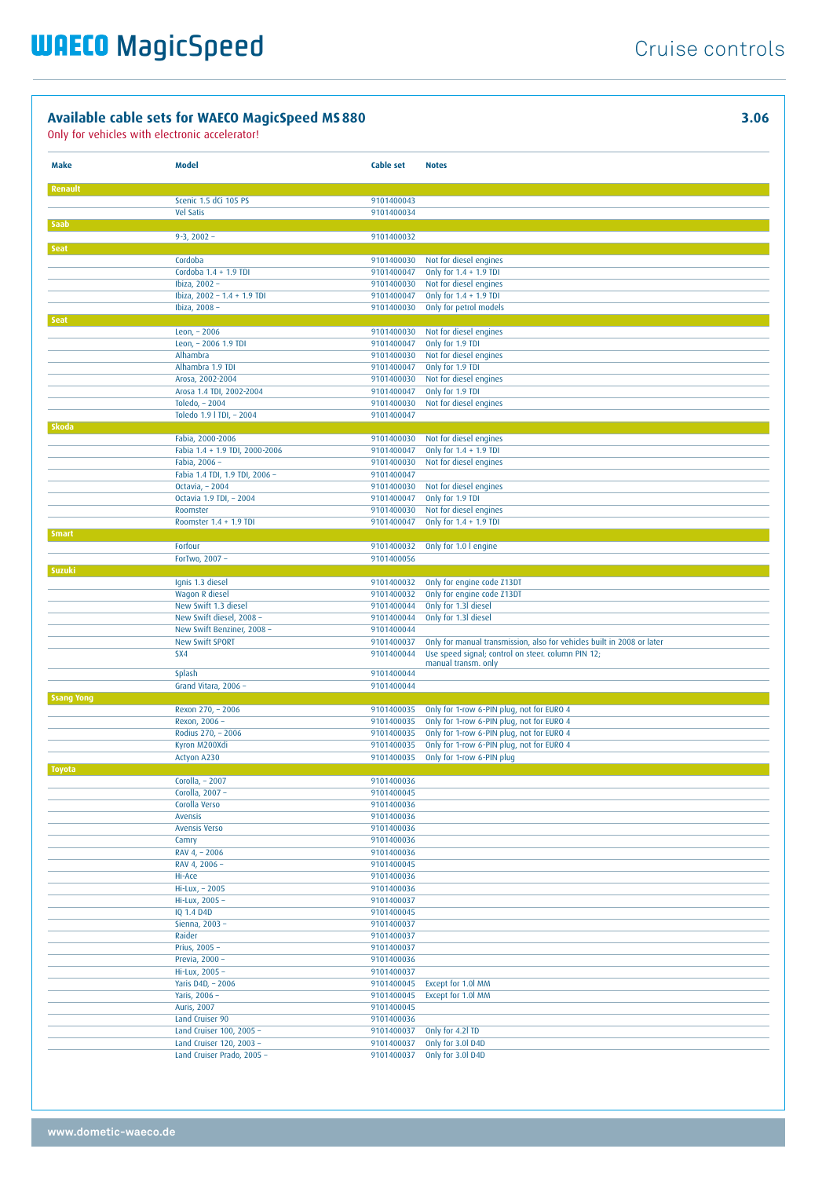| Make              | Model                                                | <b>Cable set</b>         | <b>Notes</b>                                                                           |
|-------------------|------------------------------------------------------|--------------------------|----------------------------------------------------------------------------------------|
| <b>Renault</b>    |                                                      |                          |                                                                                        |
|                   | Scenic 1.5 dCi 105 PS                                | 9101400043               |                                                                                        |
| Saab              | <b>Vel Satis</b>                                     | 9101400034               |                                                                                        |
|                   | $9 - 3$ , 2002 -                                     | 9101400032               |                                                                                        |
| <b>Seat</b>       |                                                      |                          |                                                                                        |
|                   | Cordoba                                              | 9101400030               | Not for diesel engines                                                                 |
|                   | Cordoba 1.4 + 1.9 TDI<br>Ibiza, 2002 -               | 9101400047<br>9101400030 | Only for 1.4 + 1.9 TDI<br>Not for diesel engines                                       |
|                   | Ibiza, 2002 - 1.4 + 1.9 TDI                          | 9101400047               | Only for $1.4 + 1.9$ TDI                                                               |
|                   | Ibiza, 2008 -                                        | 9101400030               | Only for petrol models                                                                 |
| <b>Seat</b>       | Leon, - 2006                                         | 9101400030               | Not for diesel engines                                                                 |
|                   | Leon, - 2006 1.9 TDI                                 | 9101400047               | Only for 1.9 TDI                                                                       |
|                   | Alhambra                                             | 9101400030               | Not for diesel engines                                                                 |
|                   | Alhambra 1.9 TDI                                     | 9101400047               | Only for 1.9 TDI                                                                       |
|                   | Arosa, 2002-2004                                     | 9101400030               | Not for diesel engines                                                                 |
|                   | Arosa 1.4 TDI, 2002-2004<br>Toledo, - 2004           | 9101400047<br>9101400030 | Only for 1.9 TDI<br>Not for diesel engines                                             |
|                   | Toledo 1.9   TDI, - 2004                             | 9101400047               |                                                                                        |
| Skoda             |                                                      |                          |                                                                                        |
|                   | Fabia, 2000-2006                                     | 9101400030               | Not for diesel engines                                                                 |
|                   | Fabia 1.4 + 1.9 TDI, 2000-2006<br>Fabia, 2006 -      | 9101400047<br>9101400030 | Only for $1.4 + 1.9$ TDI<br>Not for diesel engines                                     |
|                   | Fabia 1.4 TDI, 1.9 TDI, 2006 -                       | 9101400047               |                                                                                        |
|                   | Octavia, - 2004                                      | 9101400030               | Not for diesel engines                                                                 |
|                   | Octavia 1.9 TDI, - 2004                              | 9101400047               | Only for 1.9 TDI                                                                       |
|                   | Roomster<br>Roomster 1.4 + 1.9 TDI                   | 9101400030<br>9101400047 | Not for diesel engines<br>Only for 1.4 + 1.9 TDI                                       |
| <b>Smart</b>      |                                                      |                          |                                                                                        |
|                   | Forfour                                              | 9101400032               | Only for 1.0 I engine                                                                  |
|                   | ForTwo, 2007 -                                       | 9101400056               |                                                                                        |
| Suzuki            | Ignis 1.3 diesel                                     | 9101400032               | Only for engine code Z13DT                                                             |
|                   | Wagon R diesel                                       | 9101400032               | Only for engine code Z13DT                                                             |
|                   | New Swift 1.3 diesel                                 | 9101400044               | Only for 1.3l diesel                                                                   |
|                   | New Swift diesel, 2008 -                             | 9101400044               | Only for 1.3I diesel                                                                   |
|                   | New Swift Benziner, 2008 -<br><b>New Swift SPORT</b> | 9101400044<br>9101400037 | Only for manual transmission, also for vehicles built in 2008 or later                 |
|                   | SX4                                                  | 9101400044               | Use speed signal; control on steer. column PIN 12;                                     |
|                   | Splash                                               | 9101400044               | manual transm. only                                                                    |
|                   | Grand Vitara, 2006 -                                 | 9101400044               |                                                                                        |
| <b>Ssang Yong</b> |                                                      |                          |                                                                                        |
|                   | Rexon 270, - 2006<br>Rexon, 2006 -                   | 9101400035<br>9101400035 | Only for 1-row 6-PIN plug, not for EURO 4<br>Only for 1-row 6-PIN plug, not for EURO 4 |
|                   | Rodius 270, - 2006                                   | 9101400035               | Only for 1-row 6-PIN plug, not for EURO 4                                              |
|                   | Kyron M200Xdi                                        | 9101400035               | Only for 1-row 6-PIN plug, not for EURO 4                                              |
|                   | Actyon A230                                          | 9101400035               | Only for 1-row 6-PIN plug                                                              |
| <b>Toyota</b>     |                                                      |                          |                                                                                        |
|                   | Corolla, - 2007<br>Corolla, 2007 -                   | 9101400036<br>9101400045 |                                                                                        |
|                   | Corolla Verso                                        | 9101400036               |                                                                                        |
|                   | Avensis                                              | 9101400036               |                                                                                        |
|                   | <b>Avensis Verso</b><br>Camry                        | 9101400036<br>9101400036 |                                                                                        |
|                   | RAV 4, - 2006                                        | 9101400036               |                                                                                        |
|                   | RAV 4, 2006 -                                        | 9101400045               |                                                                                        |
|                   | Hi-Ace                                               | 9101400036               |                                                                                        |
|                   | $Hi-Lux, -2005$<br>Hi-Lux, 2005 -                    | 9101400036<br>9101400037 |                                                                                        |
|                   | IQ 1.4 D4D                                           | 9101400045               |                                                                                        |
|                   | Sienna, 2003 -                                       | 9101400037               |                                                                                        |
|                   | Raider                                               | 9101400037               |                                                                                        |
|                   | Prius, 2005 -<br>Previa, 2000 -                      | 9101400037<br>9101400036 |                                                                                        |
|                   | Hi-Lux, 2005 -                                       | 9101400037               |                                                                                        |
|                   | Yaris D4D, - 2006                                    | 9101400045               | Except for 1.0l MM                                                                     |
|                   | Yaris, 2006 -                                        | 9101400045               | Except for 1.0l MM                                                                     |
|                   | <b>Auris, 2007</b><br>Land Cruiser 90                | 9101400045<br>9101400036 |                                                                                        |
|                   | Land Cruiser 100, 2005 -                             | 9101400037               | Only for 4.2l TD                                                                       |
|                   | Land Cruiser 120, 2003 -                             | 9101400037               | Only for 3.0l D4D                                                                      |
|                   | Land Cruiser Prado, 2005 -                           | 9101400037               | Only for 3.0l D4D                                                                      |